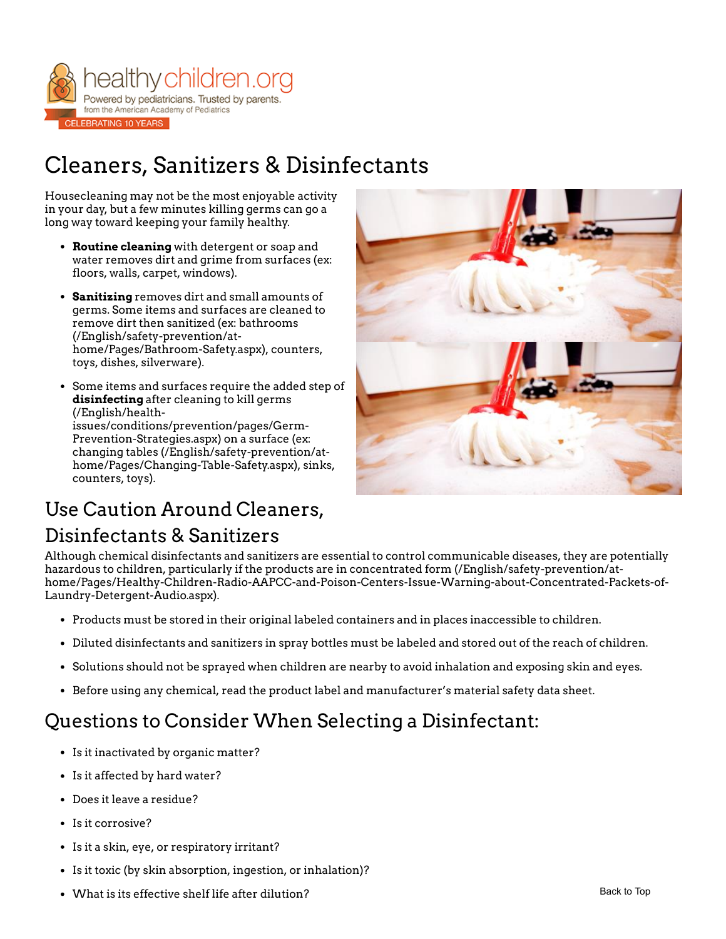

# Cleaners, Sanitizers & Disinfectants

Housecleaning may not be the most enjoyable activity in your day, but a few minutes killing germs can go a long way toward keeping your family healthy.

- **Routine cleaning** with detergent or soap and water removes dirt and grime from surfaces (ex: floors, walls, carpet, windows).
- **Sanitizing** removes dirt and small amounts of germs. Some items and surfaces are cleaned to remove dirt then sanitized (ex: bathrooms (/English/safety-prevention/at[home/Pages/Bathroom-Safety.aspx\), count](https://www.healthychildren.org/English/safety-prevention/at-home/Pages/Bathroom-Safety.aspx)ers, toys, dishes, silverware).
- Some items and surfaces require the added step of **disinfecting** after cleaning to kill germs (/English/health[issues/conditions/prevention/pages/Germ-](https://www.healthychildren.org/English/health-issues/conditions/prevention/pages/Germ-Prevention-Strategies.aspx)Prevention-Strategies.aspx) on a surface (ex: [changing tables \(/English/safety-prevention/at](https://www.healthychildren.org/English/safety-prevention/at-home/Pages/Changing-Table-Safety.aspx)home/Pages/Changing-Table-Safety.aspx), sinks, counters, toys).



## Use Caution Around Cleaners,

### Disinfectants & Sanitizers

Although chemical disinfectants and sanitizers are essential to control communicable diseases, they are potentially hazardous to children, particularly if the products are in concentrated form (/English/safety-prevention/at[home/Pages/Healthy-Children-Radio-AAPCC-and-Poison-Centers-Issue-Warning-about-Concentrated-Packets-of-](https://www.healthychildren.org/English/safety-prevention/at-home/Pages/Healthy-Children-Radio-AAPCC-and-Poison-Centers-Issue-Warning-about-Concentrated-Packets-of-Laundry-Detergent-Audio.aspx)Laundry-Detergent-Audio.aspx).

- Products must be stored in their original labeled containers and in places inaccessible to children.
- Diluted disinfectants and sanitizers in spray bottles must be labeled and stored out of the reach of children.
- Solutions should not be sprayed when children are nearby to avoid inhalation and exposing skin and eyes.
- Before using any chemical, read the product label and manufacturer's material safety data sheet.

### Questions to Consider When Selecting a Disinfectant:

- Is it inactivated by organic matter?
- Is it affected by hard water?
- Does it leave a residue?
- Is it corrosive?
- Is it a skin, eye, or respiratory irritant?
- Is it toxic (by skin absorption, ingestion, or inhalation)?
- What is its effective shelf life after dilution?  $\blacksquare$